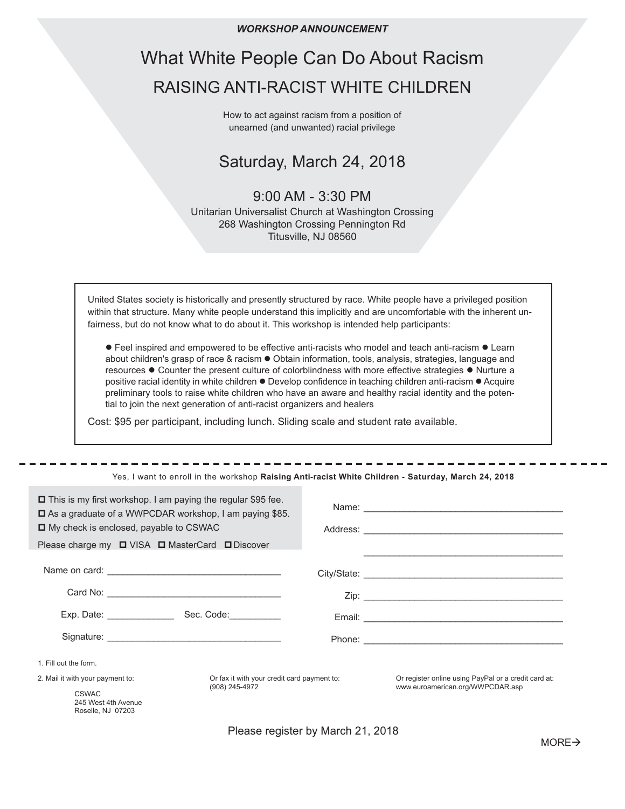*WORKSHOP ANNOUNCEMENT*

# What White People Can Do About Racism RAISING ANTI-RACIST WHITE CHILDREN

How to act against racism from a position of unearned (and unwanted) racial privilege

## Saturday, March 24, 2018

## 9:00 AM - 3:30 PM

Unitarian Universalist Church at Washington Crossing 268 Washington Crossing Pennington Rd Titusville, NJ 08560

United States society is historically and presently structured by race. White people have a privileged position within that structure. Many white people understand this implicitly and are uncomfortable with the inherent unfairness, but do not know what to do about it. This workshop is intended help participants:

 $\bullet$  Feel inspired and empowered to be effective anti-racists who model and teach anti-racism  $\bullet$  Learn about children's grasp of race & racism . Obtain information, tools, analysis, strategies, language and resources  $\bullet$  Counter the present culture of colorblindness with more effective strategies  $\bullet$  Nurture a positive racial identity in white children  $\bullet$  Develop confidence in teaching children anti-racism  $\bullet$  Acquire preliminary tools to raise white children who have an aware and healthy racial identity and the potential to join the next generation of anti-racist organizers and healers

Cost: \$95 per participant, including lunch. Sliding scale and student rate available.

#### Yes, I want to enroll in the workshop **Raising Anti-racist White Children - Saturday, March 24, 2018**

| $\Box$ This is my first workshop. I am paying the regular \$95 fee.<br>$\Box$ As a graduate of a WWPCDAR workshop, I am paying \$85.<br>□ My check is enclosed, payable to CSWAC<br>Please charge my $\Box$ VISA $\Box$ MasterCard $\Box$ Discover |                                                               | Name: Name: Name: Name: Name: Name: Name: Name: Name: Name: Name: Name: Name: Name: Name: Name: Name: Name: Name: Name: Name: Name: Name: Name: Name: Name: Name: Name: Name: Name: Name: Name: Name: Name: Name: Name: Name: |
|----------------------------------------------------------------------------------------------------------------------------------------------------------------------------------------------------------------------------------------------------|---------------------------------------------------------------|-------------------------------------------------------------------------------------------------------------------------------------------------------------------------------------------------------------------------------|
|                                                                                                                                                                                                                                                    |                                                               |                                                                                                                                                                                                                               |
|                                                                                                                                                                                                                                                    |                                                               |                                                                                                                                                                                                                               |
| Exp. Date: _______________                                                                                                                                                                                                                         | Sec. Code:___________                                         |                                                                                                                                                                                                                               |
|                                                                                                                                                                                                                                                    |                                                               |                                                                                                                                                                                                                               |
| 1. Fill out the form.                                                                                                                                                                                                                              |                                                               |                                                                                                                                                                                                                               |
| 2. Mail it with your payment to:                                                                                                                                                                                                                   | Or fax it with your credit card payment to:<br>(908) 245-4972 | Or register online using PayPal or a credit card at:<br>www.euroamerican.org/WWPCDAR.asp                                                                                                                                      |
| <b>CSWAC</b><br>245 West 4th Avenue<br>Roselle, NJ 07203                                                                                                                                                                                           |                                                               |                                                                                                                                                                                                                               |

Please register by March 21, 2018